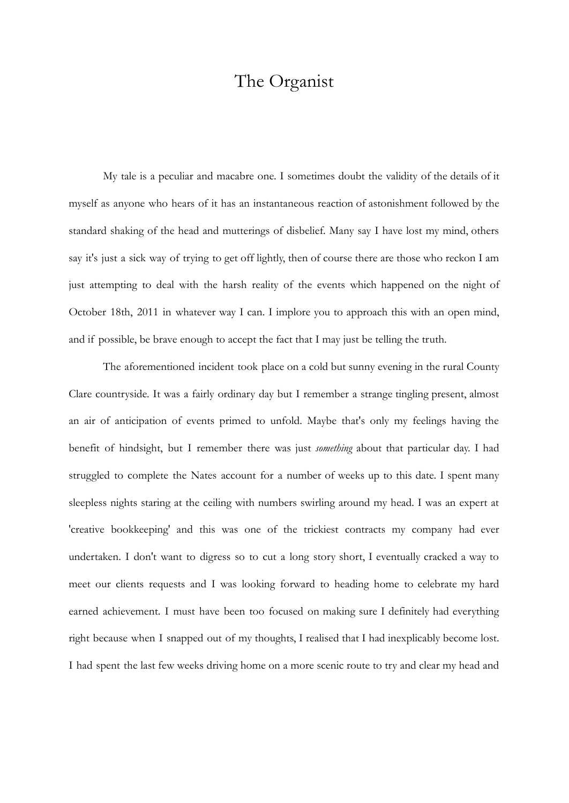# The Organist

My tale is a peculiar and macabre one. I sometimes doubt the validity of the details of it myself as anyone who hears of it has an instantaneous reaction of astonishment followed by the standard shaking of the head and mutterings of disbelief. Many say I have lost my mind, others say it's just a sick way of trying to get off lightly, then of course there are those who reckon I am just attempting to deal with the harsh reality of the events which happened on the night of October 18th, 2011 in whatever way I can. I implore you to approach this with an open mind, and if possible, be brave enough to accept the fact that I may just be telling the truth.

The aforementioned incident took place on a cold but sunny evening in the rural County Clare countryside. It was a fairly ordinary day but I remember a strange tingling present, almost an air of anticipation of events primed to unfold. Maybe that's only my feelings having the benefit of hindsight, but I remember there was just *something* about that particular day. I had struggled to complete the Nates account for a number of weeks up to this date. I spent many sleepless nights staring at the ceiling with numbers swirling around my head. I was an expert at 'creative bookkeeping' and this was one of the trickiest contracts my company had ever undertaken. I don't want to digress so to cut a long story short, I eventually cracked a way to meet our clients requests and I was looking forward to heading home to celebrate my hard earned achievement. I must have been too focused on making sure I definitely had everything right because when I snapped out of my thoughts, I realised that I had inexplicably become lost. I had spent the last few weeks driving home on a more scenic route to try and clear my head and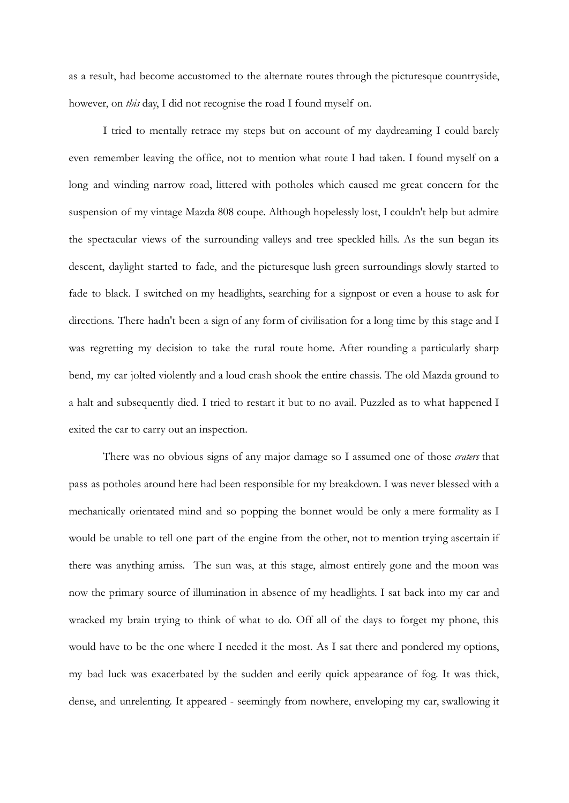as a result, had become accustomed to the alternate routes through the picturesque countryside, however, on *this* day, I did not recognise the road I found myself on.

I tried to mentally retrace my steps but on account of my daydreaming I could barely even remember leaving the office, not to mention what route I had taken. I found myself on a long and winding narrow road, littered with potholes which caused me great concern for the suspension of my vintage Mazda 808 coupe. Although hopelessly lost, I couldn't help but admire the spectacular views of the surrounding valleys and tree speckled hills. As the sun began its descent, daylight started to fade, and the picturesque lush green surroundings slowly started to fade to black. I switched on my headlights, searching for a signpost or even a house to ask for directions. There hadn't been a sign of any form of civilisation for a long time by this stage and I was regretting my decision to take the rural route home. After rounding a particularly sharp bend, my car jolted violently and a loud crash shook the entire chassis. The old Mazda ground to a halt and subsequently died. I tried to restart it but to no avail. Puzzled as to what happened I exited the car to carry out an inspection.

There was no obvious signs of any major damage so I assumed one of those *craters* that pass as potholes around here had been responsible for my breakdown. I was never blessed with a mechanically orientated mind and so popping the bonnet would be only a mere formality as I would be unable to tell one part of the engine from the other, not to mention trying ascertain if there was anything amiss. The sun was, at this stage, almost entirely gone and the moon was now the primary source of illumination in absence of my headlights. I sat back into my car and wracked my brain trying to think of what to do. Off all of the days to forget my phone, this would have to be the one where I needed it the most. As I sat there and pondered my options, my bad luck was exacerbated by the sudden and eerily quick appearance of fog. It was thick, dense, and unrelenting. It appeared - seemingly from nowhere, enveloping my car, swallowing it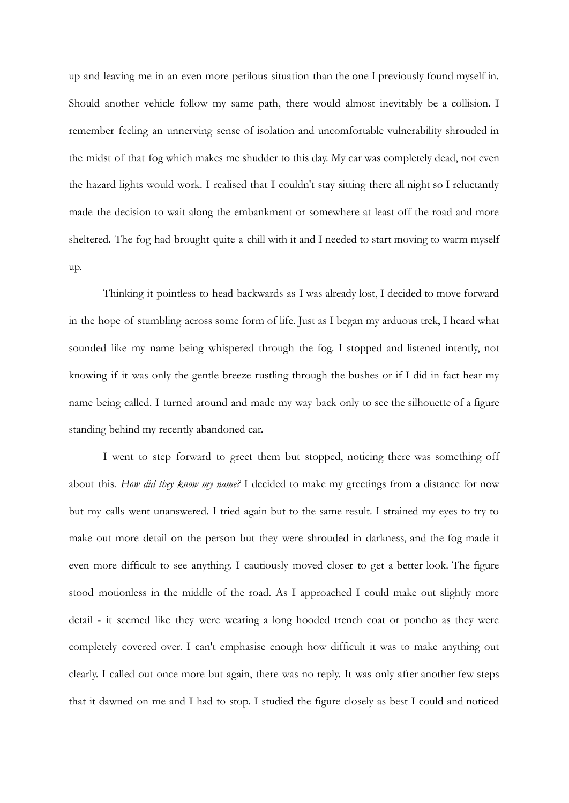up and leaving me in an even more perilous situation than the one I previously found myself in. Should another vehicle follow my same path, there would almost inevitably be a collision. I remember feeling an unnerving sense of isolation and uncomfortable vulnerability shrouded in the midst of that fog which makes me shudder to this day. My car was completely dead, not even the hazard lights would work. I realised that I couldn't stay sitting there all night so I reluctantly made the decision to wait along the embankment or somewhere at least off the road and more sheltered. The fog had brought quite a chill with it and I needed to start moving to warm myself up.

Thinking it pointless to head backwards as I was already lost, I decided to move forward in the hope of stumbling across some form of life. Just as I began my arduous trek, I heard what sounded like my name being whispered through the fog. I stopped and listened intently, not knowing if it was only the gentle breeze rustling through the bushes or if I did in fact hear my name being called. I turned around and made my way back only to see the silhouette of a figure standing behind my recently abandoned car.

I went to step forward to greet them but stopped, noticing there was something off about this. *How did they know my name?* I decided to make my greetings from a distance for now but my calls went unanswered. I tried again but to the same result. I strained my eyes to try to make out more detail on the person but they were shrouded in darkness, and the fog made it even more difficult to see anything. I cautiously moved closer to get a better look. The figure stood motionless in the middle of the road. As I approached I could make out slightly more detail - it seemed like they were wearing a long hooded trench coat or poncho as they were completely covered over. I can't emphasise enough how difficult it was to make anything out clearly. I called out once more but again, there was no reply. It was only after another few steps that it dawned on me and I had to stop. I studied the figure closely as best I could and noticed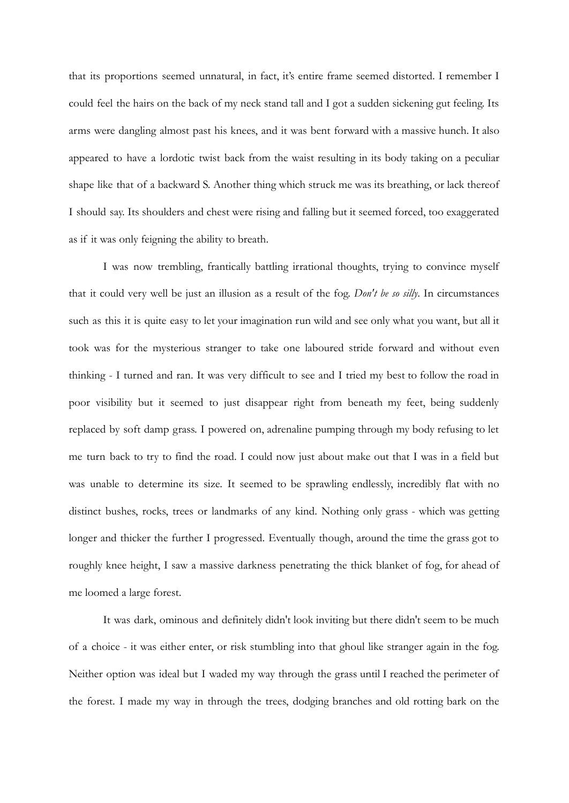that its proportions seemed unnatural, in fact, it's entire frame seemed distorted. I remember I could feel the hairs on the back of my neck stand tall and I got a sudden sickening gut feeling. Its arms were dangling almost past his knees, and it was bent forward with a massive hunch. It also appeared to have a lordotic twist back from the waist resulting in its body taking on a peculiar shape like that of a backward S. Another thing which struck me was its breathing, or lack thereof I should say. Its shoulders and chest were rising and falling but it seemed forced, too exaggerated as if it was only feigning the ability to breath.

I was now trembling, frantically battling irrational thoughts, trying to convince myself that it could very well be just an illusion as a result of the fog. *Don't be so silly*. In circumstances such as this it is quite easy to let your imagination run wild and see only what you want, but all it took was for the mysterious stranger to take one laboured stride forward and without even thinking - I turned and ran. It was very difficult to see and I tried my best to follow the road in poor visibility but it seemed to just disappear right from beneath my feet, being suddenly replaced by soft damp grass. I powered on, adrenaline pumping through my body refusing to let me turn back to try to find the road. I could now just about make out that I was in a field but was unable to determine its size. It seemed to be sprawling endlessly, incredibly flat with no distinct bushes, rocks, trees or landmarks of any kind. Nothing only grass - which was getting longer and thicker the further I progressed. Eventually though, around the time the grass got to roughly knee height, I saw a massive darkness penetrating the thick blanket of fog, for ahead of me loomed a large forest.

It was dark, ominous and definitely didn't look inviting but there didn't seem to be much of a choice - it was either enter, or risk stumbling into that ghoul like stranger again in the fog. Neither option was ideal but I waded my way through the grass until I reached the perimeter of the forest. I made my way in through the trees, dodging branches and old rotting bark on the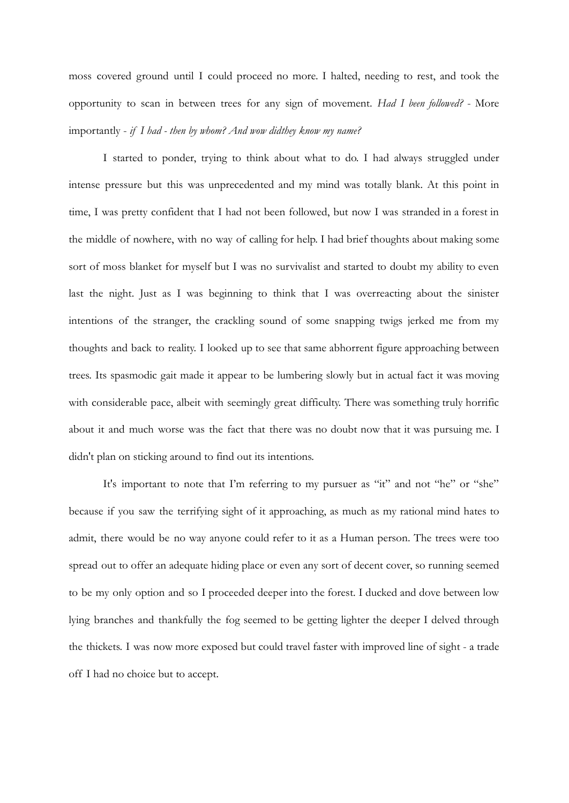moss covered ground until I could proceed no more. I halted, needing to rest, and took the opportunity to scan in between trees for any sign of movement. *Had I been followed?* - More importantly - *if I had - then by whom? And wow didthey know my name?*

I started to ponder, trying to think about what to do. I had always struggled under intense pressure but this was unprecedented and my mind was totally blank. At this point in time, I was pretty confident that I had not been followed, but now I was stranded in a forest in the middle of nowhere, with no way of calling for help. I had brief thoughts about making some sort of moss blanket for myself but I was no survivalist and started to doubt my ability to even last the night. Just as I was beginning to think that I was overreacting about the sinister intentions of the stranger, the crackling sound of some snapping twigs jerked me from my thoughts and back to reality. I looked up to see that same abhorrent figure approaching between trees. Its spasmodic gait made it appear to be lumbering slowly but in actual fact it was moving with considerable pace, albeit with seemingly great difficulty. There was something truly horrific about it and much worse was the fact that there was no doubt now that it was pursuing me. I didn't plan on sticking around to find out its intentions.

It's important to note that I'm referring to my pursuer as "it" and not "he" or "she" because if you saw the terrifying sight of it approaching, as much as my rational mind hates to admit, there would be no way anyone could refer to it as a Human person. The trees were too spread out to offer an adequate hiding place or even any sort of decent cover, so running seemed to be my only option and so I proceeded deeper into the forest. I ducked and dove between low lying branches and thankfully the fog seemed to be getting lighter the deeper I delved through the thickets. I was now more exposed but could travel faster with improved line of sight - a trade off I had no choice but to accept.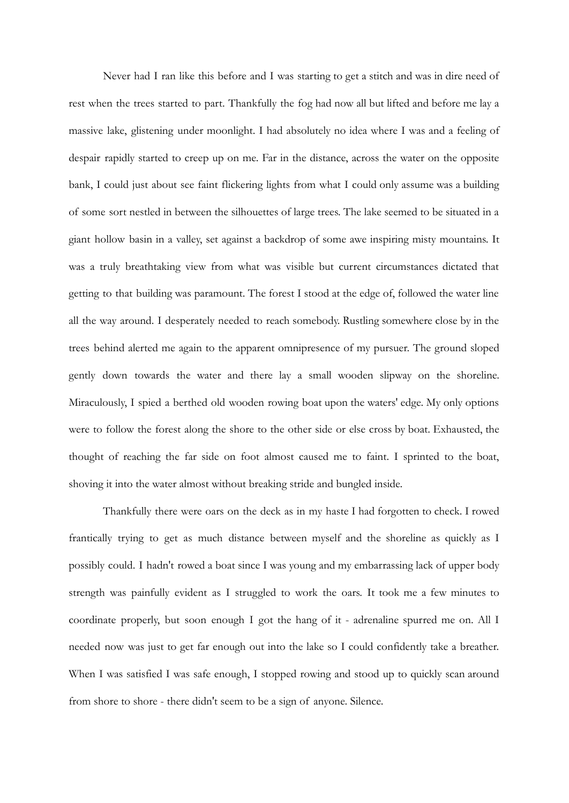Never had I ran like this before and I was starting to get a stitch and was in dire need of rest when the trees started to part. Thankfully the fog had now all but lifted and before me lay a massive lake, glistening under moonlight. I had absolutely no idea where I was and a feeling of despair rapidly started to creep up on me. Far in the distance, across the water on the opposite bank, I could just about see faint flickering lights from what I could only assume was a building of some sort nestled in between the silhouettes of large trees. The lake seemed to be situated in a giant hollow basin in a valley, set against a backdrop of some awe inspiring misty mountains. It was a truly breathtaking view from what was visible but current circumstances dictated that getting to that building was paramount. The forest I stood at the edge of, followed the water line all the way around. I desperately needed to reach somebody. Rustling somewhere close by in the trees behind alerted me again to the apparent omnipresence of my pursuer. The ground sloped gently down towards the water and there lay a small wooden slipway on the shoreline. Miraculously, I spied a berthed old wooden rowing boat upon the waters' edge. My only options were to follow the forest along the shore to the other side or else cross by boat. Exhausted, the thought of reaching the far side on foot almost caused me to faint. I sprinted to the boat, shoving it into the water almost without breaking stride and bungled inside.

Thankfully there were oars on the deck as in my haste I had forgotten to check. I rowed frantically trying to get as much distance between myself and the shoreline as quickly as I possibly could. I hadn't rowed a boat since I was young and my embarrassing lack of upper body strength was painfully evident as I struggled to work the oars. It took me a few minutes to coordinate properly, but soon enough I got the hang of it - adrenaline spurred me on. All I needed now was just to get far enough out into the lake so I could confidently take a breather. When I was satisfied I was safe enough, I stopped rowing and stood up to quickly scan around from shore to shore - there didn't seem to be a sign of anyone. Silence.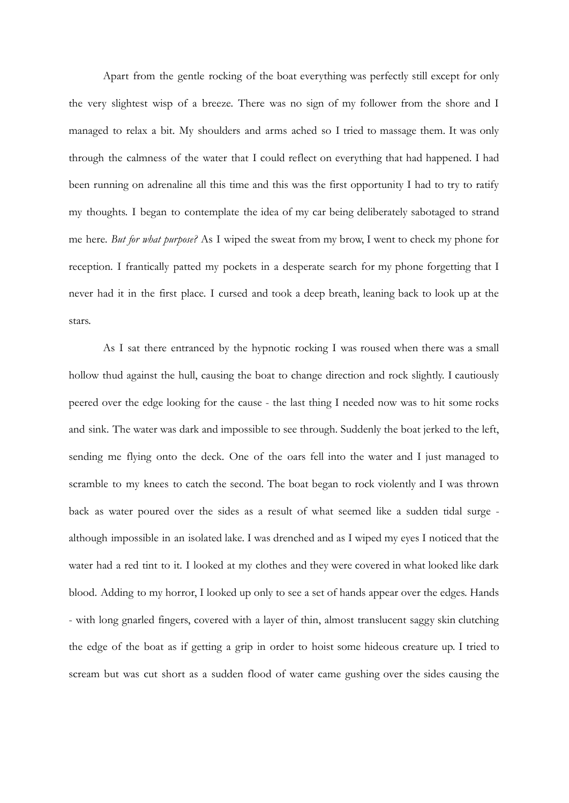Apart from the gentle rocking of the boat everything was perfectly still except for only the very slightest wisp of a breeze. There was no sign of my follower from the shore and I managed to relax a bit. My shoulders and arms ached so I tried to massage them. It was only through the calmness of the water that I could reflect on everything that had happened. I had been running on adrenaline all this time and this was the first opportunity I had to try to ratify my thoughts. I began to contemplate the idea of my car being deliberately sabotaged to strand me here. *But for what purpose?* As I wiped the sweat from my brow, I went to check my phone for reception. I frantically patted my pockets in a desperate search for my phone forgetting that I never had it in the first place. I cursed and took a deep breath, leaning back to look up at the stars.

As I sat there entranced by the hypnotic rocking I was roused when there was a small hollow thud against the hull, causing the boat to change direction and rock slightly. I cautiously peered over the edge looking for the cause - the last thing I needed now was to hit some rocks and sink. The water was dark and impossible to see through. Suddenly the boat jerked to the left, sending me flying onto the deck. One of the oars fell into the water and I just managed to scramble to my knees to catch the second. The boat began to rock violently and I was thrown back as water poured over the sides as a result of what seemed like a sudden tidal surge although impossible in an isolated lake. I was drenched and as I wiped my eyes I noticed that the water had a red tint to it. I looked at my clothes and they were covered in what looked like dark blood. Adding to my horror, I looked up only to see a set of hands appear over the edges. Hands - with long gnarled fingers, covered with a layer of thin, almost translucent saggy skin clutching the edge of the boat as if getting a grip in order to hoist some hideous creature up. I tried to scream but was cut short as a sudden flood of water came gushing over the sides causing the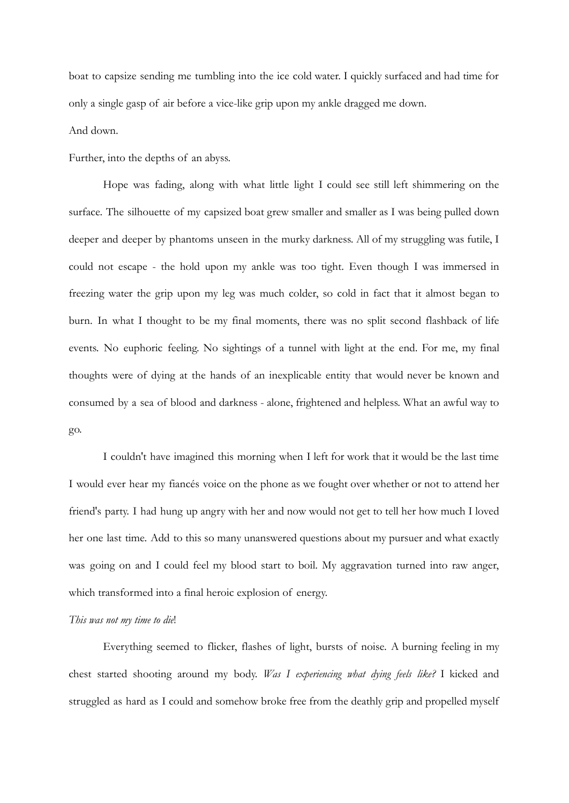boat to capsize sending me tumbling into the ice cold water. I quickly surfaced and had time for only a single gasp of air before a vice-like grip upon my ankle dragged me down.

## And down.

Further, into the depths of an abyss.

Hope was fading, along with what little light I could see still left shimmering on the surface. The silhouette of my capsized boat grew smaller and smaller as I was being pulled down deeper and deeper by phantoms unseen in the murky darkness. All of my struggling was futile, I could not escape - the hold upon my ankle was too tight. Even though I was immersed in freezing water the grip upon my leg was much colder, so cold in fact that it almost began to burn. In what I thought to be my final moments, there was no split second flashback of life events. No euphoric feeling. No sightings of a tunnel with light at the end. For me, my final thoughts were of dying at the hands of an inexplicable entity that would never be known and consumed by a sea of blood and darkness - alone, frightened and helpless. What an awful way to go.

I couldn't have imagined this morning when I left for work that it would be the last time I would ever hear my fiancés voice on the phone as we fought over whether or not to attend her friend's party. I had hung up angry with her and now would not get to tell her how much I loved her one last time. Add to this so many unanswered questions about my pursuer and what exactly was going on and I could feel my blood start to boil. My aggravation turned into raw anger, which transformed into a final heroic explosion of energy.

### *This was not my time to die*!

Everything seemed to flicker, flashes of light, bursts of noise. A burning feeling in my chest started shooting around my body. *Was I experiencing what dying feels like?* I kicked and struggled as hard as I could and somehow broke free from the deathly grip and propelled myself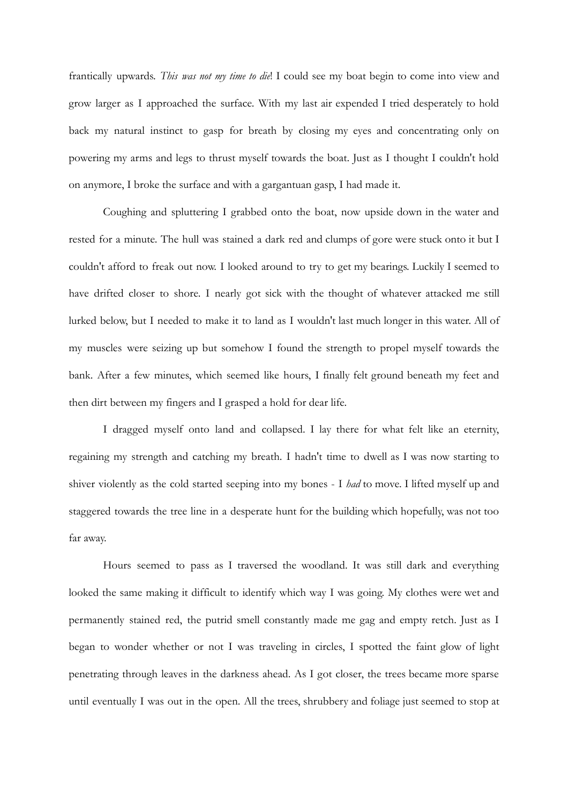frantically upwards. *This was not my time to die*! I could see my boat begin to come into view and grow larger as I approached the surface. With my last air expended I tried desperately to hold back my natural instinct to gasp for breath by closing my eyes and concentrating only on powering my arms and legs to thrust myself towards the boat. Just as I thought I couldn't hold on anymore, I broke the surface and with a gargantuan gasp, I had made it.

Coughing and spluttering I grabbed onto the boat, now upside down in the water and rested for a minute. The hull was stained a dark red and clumps of gore were stuck onto it but I couldn't afford to freak out now. I looked around to try to get my bearings. Luckily I seemed to have drifted closer to shore. I nearly got sick with the thought of whatever attacked me still lurked below, but I needed to make it to land as I wouldn't last much longer in this water. All of my muscles were seizing up but somehow I found the strength to propel myself towards the bank. After a few minutes, which seemed like hours, I finally felt ground beneath my feet and then dirt between my fingers and I grasped a hold for dear life.

I dragged myself onto land and collapsed. I lay there for what felt like an eternity, regaining my strength and catching my breath. I hadn't time to dwell as I was now starting to shiver violently as the cold started seeping into my bones - I *had* to move. I lifted myself up and staggered towards the tree line in a desperate hunt for the building which hopefully, was not too far away.

Hours seemed to pass as I traversed the woodland. It was still dark and everything looked the same making it difficult to identify which way I was going. My clothes were wet and permanently stained red, the putrid smell constantly made me gag and empty retch. Just as I began to wonder whether or not I was traveling in circles, I spotted the faint glow of light penetrating through leaves in the darkness ahead. As I got closer, the trees became more sparse until eventually I was out in the open. All the trees, shrubbery and foliage just seemed to stop at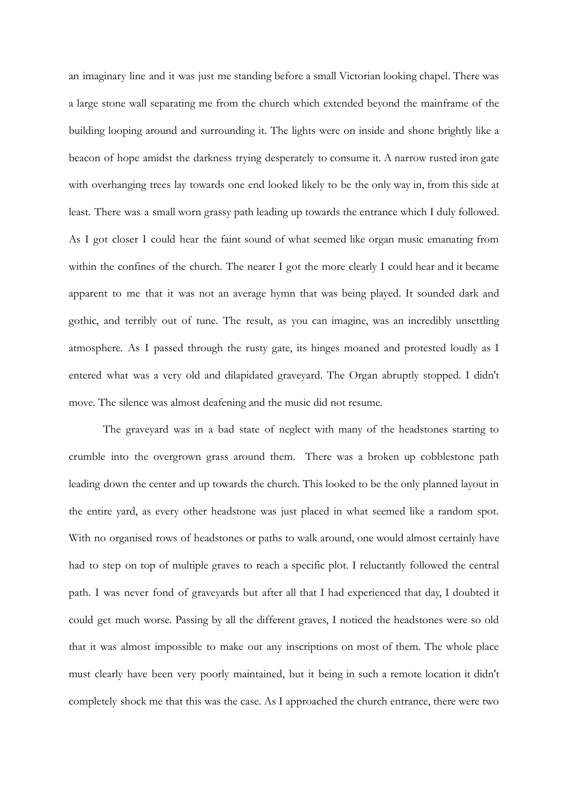an imaginary line and it was just me standing before a small Victorian looking chapel. There was a large stone wall separating me from the church which extended beyond the mainframe of the building looping around and surrounding it. The lights were on inside and shone brightly like a beacon of hope amidst the darkness trying desperately to consume it. A narrow rusted iron gate with overhanging trees lay towards one end looked likely to be the only way in, from this side at least. There was a small worn grassy path leading up towards the entrance which I duly followed. As I got closer I could hear the faint sound of what seemed like organ music emanating from within the confines of the church. The nearer I got the more clearly I could hear and it became apparent to me that it was not an average hymn that was being played. It sounded dark and gothic, and terribly out of tune. The result, as you can imagine, was an incredibly unsettling atmosphere. As I passed through the rusty gate, its hinges moaned and protested loudly as I entered what was a very old and dilapidated graveyard. The Organ abruptly stopped. I didn't move. The silence was almost deafening and the music did not resume.

The graveyard was in a bad state of neglect with many of the headstones starting to crumble into the overgrown grass around them. There was a broken up cobblestone path leading down the center and up towards the church. This looked to be the only planned layout in the entire yard, as every other headstone was just placed in what seemed like a random spot. With no organised rows of headstones or paths to walk around, one would almost certainly have had to step on top of multiple graves to reach a specific plot. I reluctantly followed the central path. I was never fond of graveyards but after all that I had experienced that day, I doubted it could get much worse. Passing by all the different graves, I noticed the headstones were so old that it was almost impossible to make out any inscriptions on most of them. The whole place must clearly have been very poorly maintained, but it being in such a remote location it didn't completely shock me that this was the case. As I approached the church entrance, there were two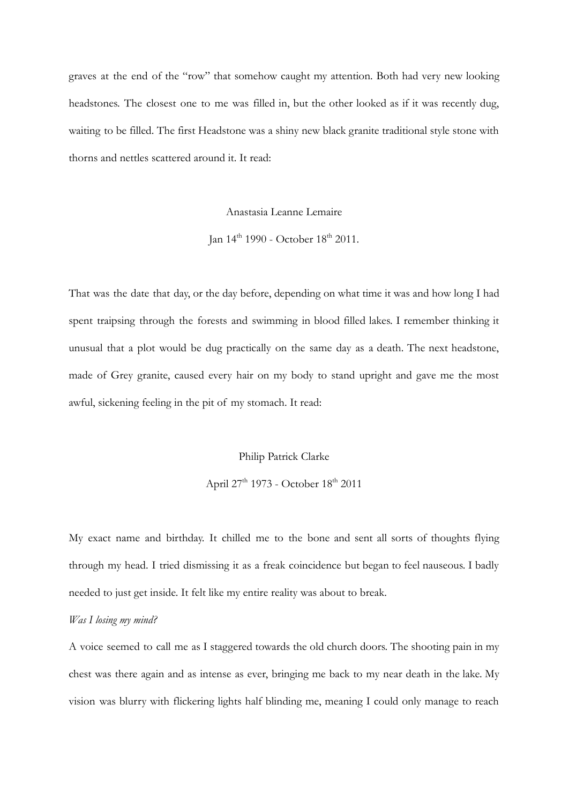graves at the end of the "row" that somehow caught my attention. Both had very new looking headstones. The closest one to me was filled in, but the other looked as if it was recently dug, waiting to be filled. The first Headstone was a shiny new black granite traditional style stone with thorns and nettles scattered around it. It read:

Anastasia Leanne Lemaire

Ian  $14^{th}$  1990 - October  $18^{th}$  2011.

That was the date that day, or the day before, depending on what time it was and how long I had spent traipsing through the forests and swimming in blood filled lakes. I remember thinking it unusual that a plot would be dug practically on the same day as a death. The next headstone, made of Grey granite, caused every hair on my body to stand upright and gave me the most awful, sickening feeling in the pit of my stomach. It read:

Philip Patrick Clarke

April 27<sup>th</sup> 1973 - October 18<sup>th</sup> 2011

My exact name and birthday. It chilled me to the bone and sent all sorts of thoughts flying through my head. I tried dismissing it as a freak coincidence but began to feel nauseous. I badly needed to just get inside. It felt like my entire reality was about to break.

### *Was I losing my mind?*

A voice seemed to call me as I staggered towards the old church doors. The shooting pain in my chest was there again and as intense as ever, bringing me back to my near death in the lake. My vision was blurry with flickering lights half blinding me, meaning I could only manage to reach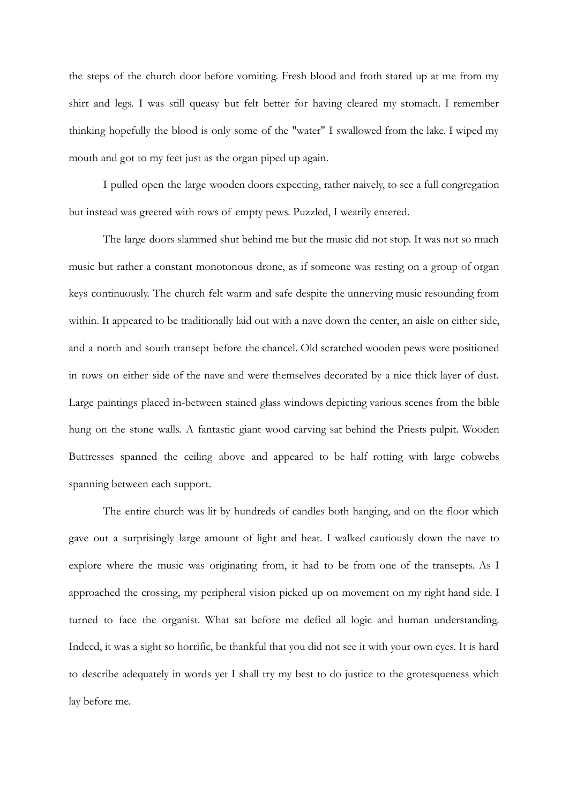the steps of the church door before vomiting. Fresh blood and froth stared up at me from my shirt and legs. I was still queasy but felt better for having cleared my stomach. I remember thinking hopefully the blood is only some of the "water" I swallowed from the lake. I wiped my mouth and got to my feet just as the organ piped up again.

I pulled open the large wooden doors expecting, rather naively, to see a full congregation but instead was greeted with rows of empty pews. Puzzled, I wearily entered.

The large doors slammed shut behind me but the music did not stop. It was not so much music but rather a constant monotonous drone, as if someone was resting on a group of organ keys continuously. The church felt warm and safe despite the unnerving music resounding from within. It appeared to be traditionally laid out with a nave down the center, an aisle on either side, and a north and south transept before the chancel. Old scratched wooden pews were positioned in rows on either side of the nave and were themselves decorated by a nice thick layer of dust. Large paintings placed in-between stained glass windows depicting various scenes from the bible hung on the stone walls. A fantastic giant wood carving sat behind the Priests pulpit. Wooden Buttresses spanned the ceiling above and appeared to be half rotting with large cobwebs spanning between each support.

The entire church was lit by hundreds of candles both hanging, and on the floor which gave out a surprisingly large amount of light and heat. I walked cautiously down the nave to explore where the music was originating from, it had to be from one of the transepts. As I approached the crossing, my peripheral vision picked up on movement on my right hand side. I turned to face the organist. What sat before me defied all logic and human understanding. Indeed, it was a sight so horrific, be thankful that you did not see it with your own eyes. It is hard to describe adequately in words yet I shall try my best to do justice to the grotesqueness which lay before me.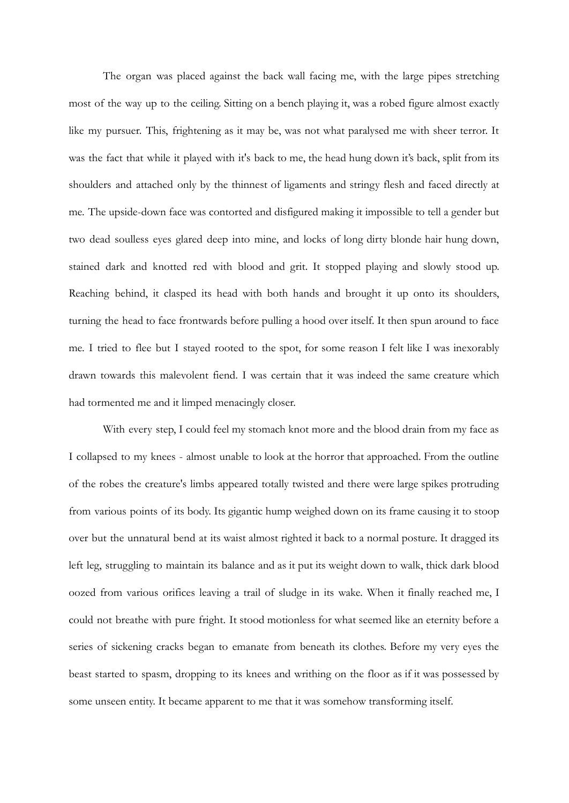The organ was placed against the back wall facing me, with the large pipes stretching most of the way up to the ceiling. Sitting on a bench playing it, was a robed figure almost exactly like my pursuer. This, frightening as it may be, was not what paralysed me with sheer terror. It was the fact that while it played with it's back to me, the head hung down it's back, split from its shoulders and attached only by the thinnest of ligaments and stringy flesh and faced directly at me. The upside-down face was contorted and disfigured making it impossible to tell a gender but two dead soulless eyes glared deep into mine, and locks of long dirty blonde hair hung down, stained dark and knotted red with blood and grit. It stopped playing and slowly stood up. Reaching behind, it clasped its head with both hands and brought it up onto its shoulders, turning the head to face frontwards before pulling a hood over itself. It then spun around to face me. I tried to flee but I stayed rooted to the spot, for some reason I felt like I was inexorably drawn towards this malevolent fiend. I was certain that it was indeed the same creature which had tormented me and it limped menacingly closer.

With every step, I could feel my stomach knot more and the blood drain from my face as I collapsed to my knees - almost unable to look at the horror that approached. From the outline of the robes the creature's limbs appeared totally twisted and there were large spikes protruding from various points of its body. Its gigantic hump weighed down on its frame causing it to stoop over but the unnatural bend at its waist almost righted it back to a normal posture. It dragged its left leg, struggling to maintain its balance and as it put its weight down to walk, thick dark blood oozed from various orifices leaving a trail of sludge in its wake. When it finally reached me, I could not breathe with pure fright. It stood motionless for what seemed like an eternity before a series of sickening cracks began to emanate from beneath its clothes. Before my very eyes the beast started to spasm, dropping to its knees and writhing on the floor as if it was possessed by some unseen entity. It became apparent to me that it was somehow transforming itself.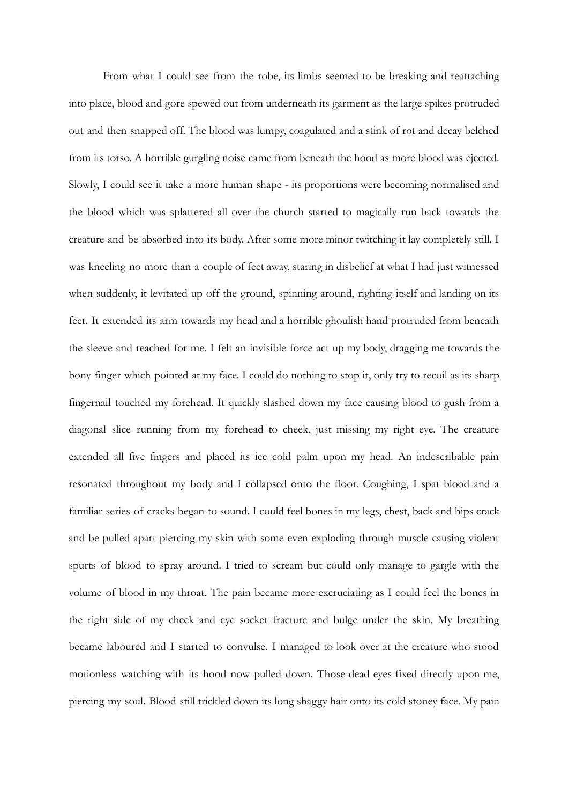From what I could see from the robe, its limbs seemed to be breaking and reattaching into place, blood and gore spewed out from underneath its garment as the large spikes protruded out and then snapped off. The blood was lumpy, coagulated and a stink of rot and decay belched from its torso. A horrible gurgling noise came from beneath the hood as more blood was ejected. Slowly, I could see it take a more human shape - its proportions were becoming normalised and the blood which was splattered all over the church started to magically run back towards the creature and be absorbed into its body. After some more minor twitching it lay completely still. I was kneeling no more than a couple of feet away, staring in disbelief at what I had just witnessed when suddenly, it levitated up off the ground, spinning around, righting itself and landing on its feet. It extended its arm towards my head and a horrible ghoulish hand protruded from beneath the sleeve and reached for me. I felt an invisible force act up my body, dragging me towards the bony finger which pointed at my face. I could do nothing to stop it, only try to recoil as its sharp fingernail touched my forehead. It quickly slashed down my face causing blood to gush from a diagonal slice running from my forehead to cheek, just missing my right eye. The creature extended all five fingers and placed its ice cold palm upon my head. An indescribable pain resonated throughout my body and I collapsed onto the floor. Coughing, I spat blood and a familiar series of cracks began to sound. I could feel bones in my legs, chest, back and hips crack and be pulled apart piercing my skin with some even exploding through muscle causing violent spurts of blood to spray around. I tried to scream but could only manage to gargle with the volume of blood in my throat. The pain became more excruciating as I could feel the bones in the right side of my cheek and eye socket fracture and bulge under the skin. My breathing became laboured and I started to convulse. I managed to look over at the creature who stood motionless watching with its hood now pulled down. Those dead eyes fixed directly upon me, piercing my soul. Blood still trickled down its long shaggy hair onto its cold stoney face. My pain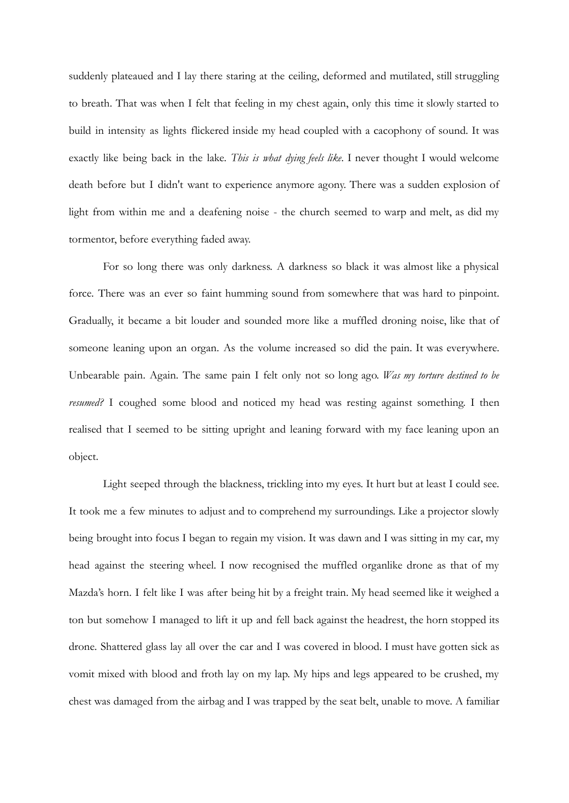suddenly plateaued and I lay there staring at the ceiling, deformed and mutilated, still struggling to breath. That was when I felt that feeling in my chest again, only this time it slowly started to build in intensity as lights flickered inside my head coupled with a cacophony of sound. It was exactly like being back in the lake. *This is what dying feels like*. I never thought I would welcome death before but I didn't want to experience anymore agony. There was a sudden explosion of light from within me and a deafening noise - the church seemed to warp and melt, as did my tormentor, before everything faded away.

For so long there was only darkness. A darkness so black it was almost like a physical force. There was an ever so faint humming sound from somewhere that was hard to pinpoint. Gradually, it became a bit louder and sounded more like a muffled droning noise, like that of someone leaning upon an organ. As the volume increased so did the pain. It was everywhere. Unbearable pain. Again. The same pain I felt only not so long ago. *Was my torture destined to be resumed?* I coughed some blood and noticed my head was resting against something. I then realised that I seemed to be sitting upright and leaning forward with my face leaning upon an object.

Light seeped through the blackness, trickling into my eyes. It hurt but at least I could see. It took me a few minutes to adjust and to comprehend my surroundings. Like a projector slowly being brought into focus I began to regain my vision. It was dawn and I was sitting in my car, my head against the steering wheel. I now recognised the muffled organlike drone as that of my Mazda's horn. I felt like I was after being hit by a freight train. My head seemed like it weighed a ton but somehow I managed to lift it up and fell back against the headrest, the horn stopped its drone. Shattered glass lay all over the car and I was covered in blood. I must have gotten sick as vomit mixed with blood and froth lay on my lap. My hips and legs appeared to be crushed, my chest was damaged from the airbag and I was trapped by the seat belt, unable to move. A familiar